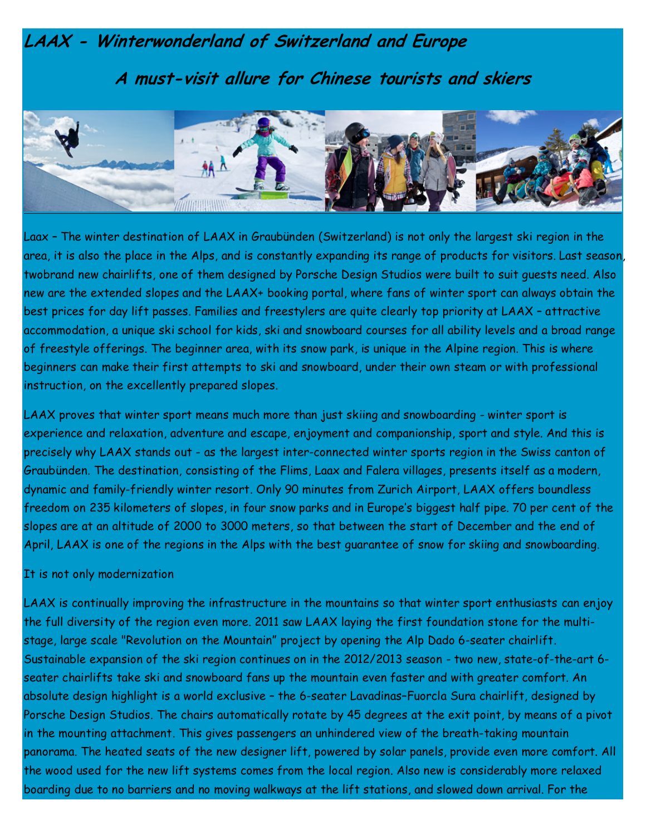# LAAX - Winterwonderland of Switzerland and Europe A must-visit allure for Chinese tourists and skiers



Laax – The winter destination of LAAX in Graubünden (Switzerland) is not only the largest ski region in the area, it is also the place in the Alps, and is constantly expanding its range of products for visitors. Last season, twobrand new chairlifts, one of them designed by Porsche Design Studios were built to suit guests need. Also new are the extended slopes and the LAAX+ booking portal, where fans of winter sport can always obtain the best prices for day lift passes. Families and freestylers are quite clearly top priority at LAAX – attractive accommodation, a unique ski school for kids, ski and snowboard courses for all ability levels and a broad range of freestyle offerings. The beginner area, with its snow park, is unique in the Alpine region. This is where beginners can make their first attempts to ski and snowboard, under their own steam or with professional instruction, on the excellently prepared slopes.

LAAX proves that winter sport means much more than just skiing and snowboarding - winter sport is experience and relaxation, adventure and escape, enjoyment and companionship, sport and style. And this is precisely why LAAX stands out - as the largest inter-connected winter sports region in the Swiss canton of Graubünden. The destination, consisting of the Flims, Laax and Falera villages, presents itself as a modern, dynamic and family-friendly winter resort. Only 90 minutes from Zurich Airport, LAAX offers boundless freedom on 235 kilometers of slopes, in four snow parks and in Europe's biggest half pipe. 70 per cent of the slopes are at an altitude of 2000 to 3000 meters, so that between the start of December and the end of April, LAAX is one of the regions in the Alps with the best guarantee of snow for skiing and snowboarding.

### It is not only modernization

LAAX is continually improving the infrastructure in the mountains so that winter sport enthusiasts can enjoy the full diversity of the region even more. 2011 saw LAAX laying the first foundation stone for the multistage, large scale "Revolution on the Mountain" project by opening the Alp Dado 6-seater chairlift. Sustainable expansion of the ski region continues on in the 2012/2013 season - two new, state-of-the-art 6 seater chairlifts take ski and snowboard fans up the mountain even faster and with greater comfort. An absolute design highlight is a world exclusive – the 6-seater Lavadinas–Fuorcla Sura chairlift, designed by Porsche Design Studios. The chairs automatically rotate by 45 degrees at the exit point, by means of a pivot in the mounting attachment. This gives passengers an unhindered view of the breath-taking mountain panorama. The heated seats of the new designer lift, powered by solar panels, provide even more comfort. All the wood used for the new lift systems comes from the local region. Also new is considerably more relaxed boarding due to no barriers and no moving walkways at the lift stations, and slowed down arrival. For the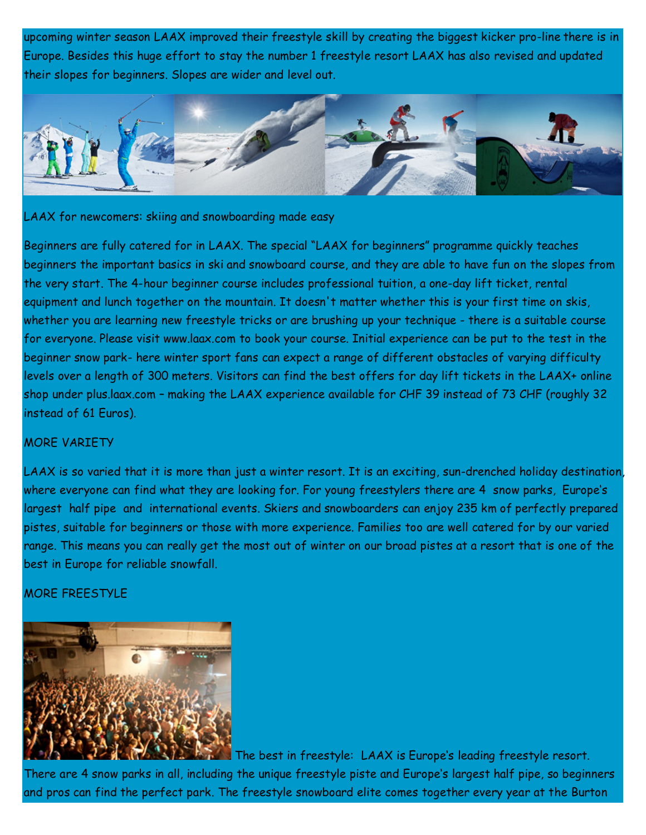upcoming winter season LAAX improved their freestyle skill by creating the biggest kicker pro-line there is in Europe. Besides this huge effort to stay the number 1 freestyle resort LAAX has also revised and updated their slopes for beginners. Slopes are wider and level out.



#### LAAX for newcomers: skiing and snowboarding made easy

Beginners are fully catered for in LAAX. The special "LAAX for beginners" programme quickly teaches beginners the important basics in ski and snowboard course, and they are able to have fun on the slopes from the very start. The 4-hour beginner course includes professional tuition, a one-day lift ticket, rental equipment and lunch together on the mountain. It doesn't matter whether this is your first time on skis, whether you are learning new freestyle tricks or are brushing up your technique - there is a suitable course for everyone. Please visit www.laax.com to book your course. Initial experience can be put to the test in the beginner snow park- here winter sport fans can expect a range of different obstacles of varying difficulty levels over a length of 300 meters. Visitors can find the best offers for day lift tickets in the LAAX+ online shop under plus.laax.com – making the LAAX experience available for CHF 39 instead of 73 CHF (roughly 32 instead of 61 Euros).

### MORE VARIETY

LAAX is so varied that it is more than just a winter resort. It is an exciting, sun-drenched holiday destination, where everyone can find what they are looking for. For young freestylers there are 4 snow parks, Europe's largest half pipe and international events. Skiers and snowboarders can enjoy 235 km of perfectly prepared pistes, suitable for beginners or those with more experience. Families too are well catered for by our varied range. This means you can really get the most out of winter on our broad pistes at a resort that is one of the best in Europe for reliable snowfall.

#### MORE FREESTYLE



 The best in freestyle: LAAX is Europe's leading freestyle resort. There are 4 snow parks in all, including the unique freestyle piste and Europe's largest half pipe, so beginners and pros can find the perfect park. The freestyle snowboard elite comes together every year at the Burton